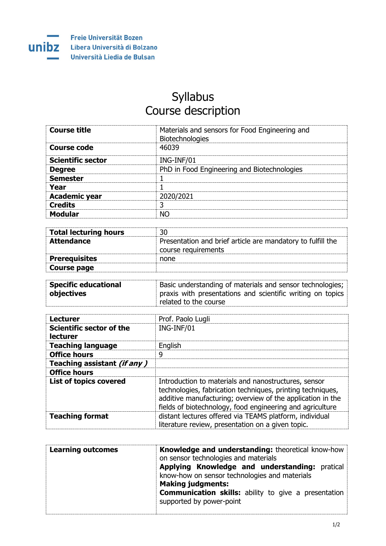

## Syllabus Course description

| <b>Course title</b>      | Materials and sensors for Food Engineering and<br>Biotechnologies |
|--------------------------|-------------------------------------------------------------------|
| Course code              | 46039                                                             |
| <b>Scientific sector</b> | ING-INF/01                                                        |
| <b>Degree</b>            | PhD in Food Engineering and Biotechnologies                       |
| <b>Semester</b>          |                                                                   |
| Year                     |                                                                   |
| <b>Academic year</b>     | 2020/2021                                                         |
| <b>Credits</b>           | つ                                                                 |
| <b>Modular</b>           | NΩ                                                                |

| <b>Total lecturing hours</b> |                                                                                    |
|------------------------------|------------------------------------------------------------------------------------|
| <b>Attendance</b>            | Presentation and brief article are mandatory to fulfill the<br>course requirements |
| <b>Prerequisites</b>         | none                                                                               |
| Course page                  |                                                                                    |

| <b>Specific educational</b> | Basic understanding of materials and sensor technologies;         |
|-----------------------------|-------------------------------------------------------------------|
| objectives                  | $\mid$ praxis with presentations and scientific writing on topics |
|                             | related to the course                                             |

| <b>Lecturer</b>                      | Prof. Paolo Lugli                                                                                                                                                                                                                             |
|--------------------------------------|-----------------------------------------------------------------------------------------------------------------------------------------------------------------------------------------------------------------------------------------------|
| Scientific sector of the<br>lecturer | ING-INF/01                                                                                                                                                                                                                                    |
| <b>Teaching language</b>             | English                                                                                                                                                                                                                                       |
| <b>Office hours</b>                  | 9                                                                                                                                                                                                                                             |
| Teaching assistant (if any)          |                                                                                                                                                                                                                                               |
| <b>Office hours</b>                  |                                                                                                                                                                                                                                               |
| <b>List of topics covered</b>        | Introduction to materials and nanostructures, sensor<br>technologies, fabrication techniques, printing techniques,<br>additive manufacturing; overview of the application in the<br>fields of biotechnology, food engineering and agriculture |
| <b>Teaching format</b>               | distant lectures offered via TEAMS platform, individual<br>literature review, presentation on a given topic.                                                                                                                                  |

| <b>Learning outcomes</b> | <b>Knowledge and understanding: theoretical know-how</b><br>on sensor technologies and materials<br>Applying Knowledge and understanding: pratical<br>know-how on sensor technologies and materials<br><b>Making judgments:</b> |
|--------------------------|---------------------------------------------------------------------------------------------------------------------------------------------------------------------------------------------------------------------------------|
|                          | <b>Communication skills:</b> ability to give a presentation<br>supported by power-point                                                                                                                                         |